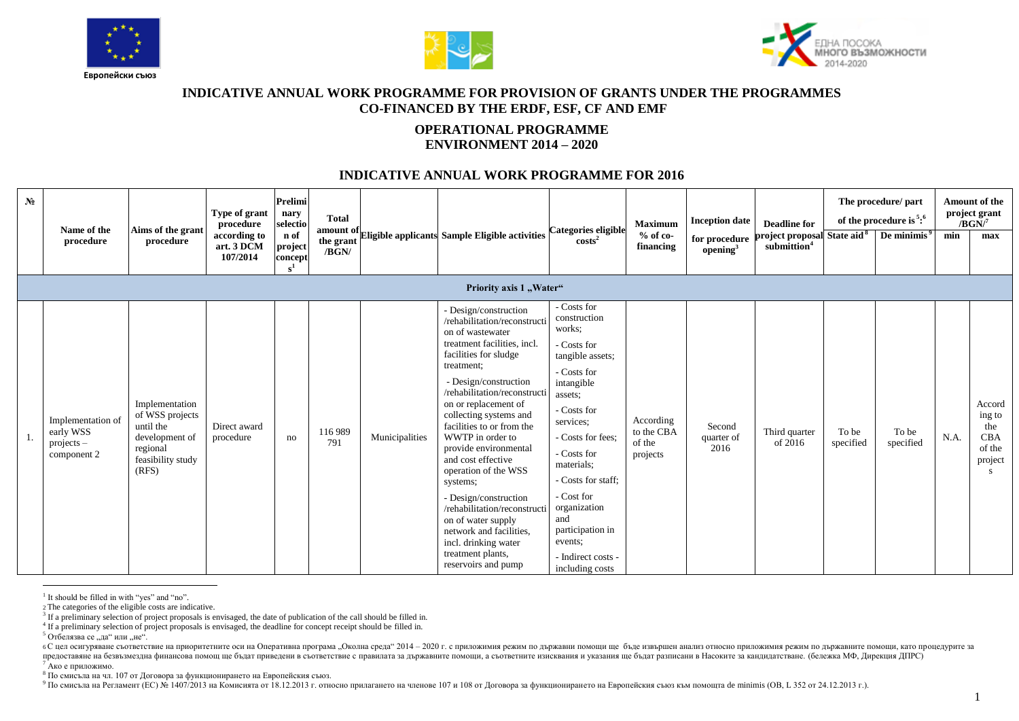





## **INDICATIVE ANNUAL WORK PROGRAMME FOR PROVISION OF GRANTS UNDER THE PROGRAMMES CO-FINANCED BY THE ERDF, ESF, CF AND EMF**

## **OPERATIONAL PROGRAMME ENVIRONMENT 2014 – 2020**

## **INDICATIVE ANNUAL WORK PROGRAMME FOR 2016**

| $N_2$ | Name of the                    | Aims of the grant                                        | Type of grant<br>procedure             | Prelimi<br>nary<br>selectio                  | <b>Total</b>       |                |                                                                                                                                | Categories eligible                                              | <b>Maximum</b>          | <b>Inception date</b>                 | <b>Deadline for</b>                                                |           | The procedure/ part<br>of the procedure is $5:6$ |      | Amount of the<br>project grant<br>$/BGN^7$ |
|-------|--------------------------------|----------------------------------------------------------|----------------------------------------|----------------------------------------------|--------------------|----------------|--------------------------------------------------------------------------------------------------------------------------------|------------------------------------------------------------------|-------------------------|---------------------------------------|--------------------------------------------------------------------|-----------|--------------------------------------------------|------|--------------------------------------------|
|       | procedure                      | procedure                                                | according to<br>art. 3 DCM<br>107/2014 | n of<br>project<br>concept<br>s <sup>1</sup> | the grant<br>/BGN/ |                | amount of Eligible applicants Sample Eligible activities                                                                       | $\cos ts^2$                                                      | $%$ of co-<br>financing | for procedure<br>opening <sup>3</sup> | project proposal State aid <sup>8</sup><br>submittion <sup>4</sup> |           | $\sqrt{ }$ De minimis <sup>9</sup>               | min  | max                                        |
|       |                                |                                                          |                                        |                                              |                    |                | Priority axis 1 "Water"                                                                                                        |                                                                  |                         |                                       |                                                                    |           |                                                  |      |                                            |
|       |                                |                                                          |                                        |                                              |                    |                | - Design/construction<br>/rehabilitation/reconstructi<br>on of wastewater                                                      | - Costs for<br>construction<br>works;                            |                         |                                       |                                                                    |           |                                                  |      |                                            |
|       |                                |                                                          |                                        |                                              |                    |                | treatment facilities, incl.<br>facilities for sludge                                                                           | - Costs for<br>tangible assets:                                  |                         |                                       |                                                                    |           |                                                  |      |                                            |
|       |                                |                                                          |                                        |                                              |                    |                | treatment;<br>- Design/construction<br>/rehabilitation/reconstructi                                                            | - Costs for<br>intangible<br>assets;                             |                         |                                       |                                                                    |           |                                                  |      |                                            |
|       | Implementation of<br>early WSS | Implementation<br>of WSS projects<br>until the           | Direct award                           |                                              | 116 989            |                | on or replacement of<br>collecting systems and<br>facilities to or from the                                                    | - Costs for<br>services:                                         | According<br>to the CBA | Second                                | Third quarter                                                      | To be     | To be                                            |      | Accord<br>ing to<br>the                    |
|       | $projects -$<br>component 2    | development of<br>regional<br>feasibility study<br>(RFS) | procedure                              | no                                           | 791                | Municipalities | WWTP in order to<br>provide environmental<br>and cost effective<br>operation of the WSS                                        | - Costs for fees:<br>- Costs for<br>materials;                   | of the<br>projects      | quarter of<br>2016                    | of 2016                                                            | specified | specified                                        | N.A. | <b>CBA</b><br>of the<br>project<br>S.      |
|       |                                |                                                          |                                        |                                              |                    |                | systems;                                                                                                                       | - Costs for staff:                                               |                         |                                       |                                                                    |           |                                                  |      |                                            |
|       |                                |                                                          |                                        |                                              |                    |                | - Design/construction<br>/rehabilitation/reconstructi<br>on of water supply<br>network and facilities,<br>incl. drinking water | - Cost for<br>organization<br>and<br>participation in<br>events: |                         |                                       |                                                                    |           |                                                  |      |                                            |
|       |                                |                                                          |                                        |                                              |                    |                | treatment plants,<br>reservoirs and pump                                                                                       | - Indirect costs -<br>including costs                            |                         |                                       |                                                                    |           |                                                  |      |                                            |

 $\overline{a}$ <sup>1</sup> It should be filled in with "yes" and "no".

2 The categories of the eligible costs are indicative.

4 If a preliminary selection of project proposals is envisaged, the deadline for concept receipt should be filled in.

 $5$  Отбелязва се "да" или "не".

6 С цел осигуряване съответствие на приоритетните оси на Оперативна програма "Околна среда" 2014 - 2020 г. с приложимия режим по държавни помощи ще бъде извършен анализ относно приложимия режим по държавните помощи, като предоставяне на безвъзмездна финансова помощ ще бъдат приведени в съответствие с правилата за държавните помощи, а съответните изисквания и указания ще бъдат разписани в Насоките за кандидатстване. (бележка МФ, Дирекция ДП

<sup>7</sup> Ако е приложимо.

в на страниционности в странициони в страниционирането на Европейския съюз.

<sup>9</sup> По смисъла на Регламент (ЕС) № 1407/2013 на Комисията от 18.12.2013 г. относно прилагането на членове 107 и 108 от Договора за функционирането на Европейския съюз към помощта de minimis (ОВ, L 352 от 24.12.2013 г.).

<sup>&</sup>lt;sup>3</sup> If a preliminary selection of project proposals is envisaged, the date of publication of the call should be filled in.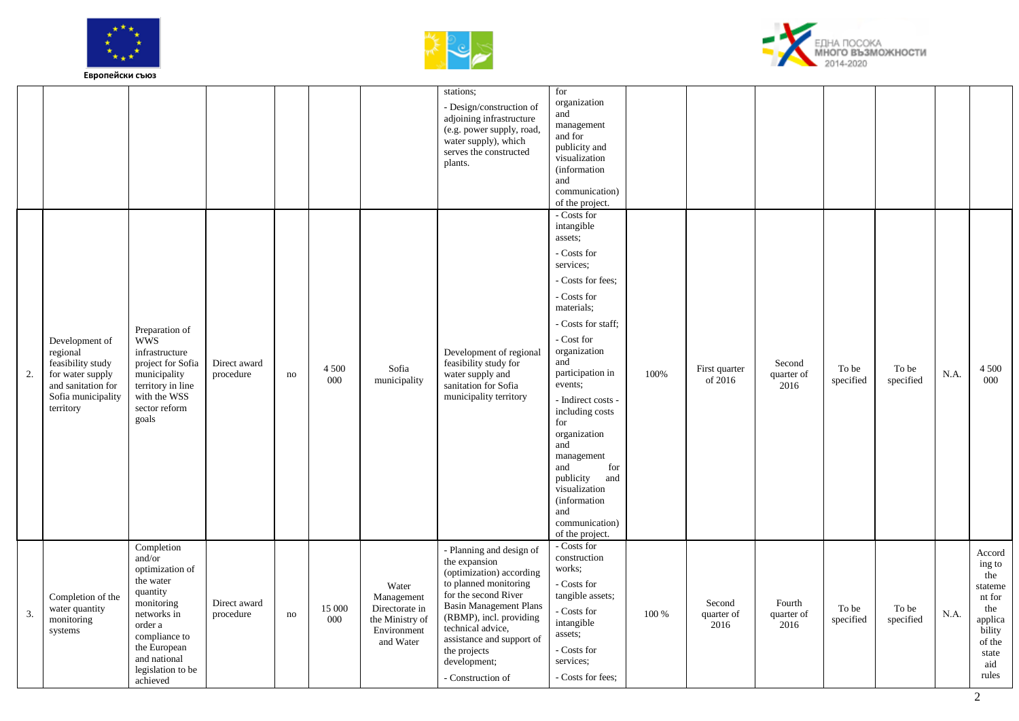





|    |                                                                                                                              |                                                                                                                                                                                            |                           |    |                |                                                                                      | stations;<br>- Design/construction of<br>adjoining infrastructure<br>(e.g. power supply, road,<br>water supply), which<br>serves the constructed<br>plants.                                                                                                                               | for<br>organization<br>and<br>management<br>and for<br>publicity and<br>visualization<br><i>(information)</i><br>and<br>communication)<br>of the project.                                                                                                                                                                                                                                                        |       |                              |                              |                    |                    |      |                                                                                                             |
|----|------------------------------------------------------------------------------------------------------------------------------|--------------------------------------------------------------------------------------------------------------------------------------------------------------------------------------------|---------------------------|----|----------------|--------------------------------------------------------------------------------------|-------------------------------------------------------------------------------------------------------------------------------------------------------------------------------------------------------------------------------------------------------------------------------------------|------------------------------------------------------------------------------------------------------------------------------------------------------------------------------------------------------------------------------------------------------------------------------------------------------------------------------------------------------------------------------------------------------------------|-------|------------------------------|------------------------------|--------------------|--------------------|------|-------------------------------------------------------------------------------------------------------------|
| 2. | Development of<br>regional<br>feasibility study<br>for water supply<br>and sanitation for<br>Sofia municipality<br>territory | Preparation of<br><b>WWS</b><br>infrastructure<br>project for Sofia<br>municipality<br>territory in line<br>with the WSS<br>sector reform<br>goals                                         | Direct award<br>procedure | no | 4 5 0 0<br>000 | Sofia<br>municipality                                                                | Development of regional<br>feasibility study for<br>water supply and<br>sanitation for Sofia<br>municipality territory                                                                                                                                                                    | - Costs for<br>intangible<br>assets;<br>- Costs for<br>services;<br>- Costs for fees:<br>- Costs for<br>materials;<br>- Costs for staff;<br>- Cost for<br>organization<br>and<br>participation in<br>events;<br>- Indirect costs -<br>including costs<br>for<br>organization<br>and<br>management<br>and<br>for<br>publicity<br>and<br>visualization<br>(information<br>and<br>communication)<br>of the project. | 100%  | First quarter<br>of 2016     | Second<br>quarter of<br>2016 | To be<br>specified | To be<br>specified | N.A. | 4 5 0 0<br>000                                                                                              |
| 3. | Completion of the<br>water quantity<br>monitoring<br>systems                                                                 | Completion<br>and/or<br>optimization of<br>the water<br>quantity<br>monitoring<br>networks in<br>order a<br>compliance to<br>the European<br>and national<br>legislation to be<br>achieved | Direct award<br>procedure | no | 15 000<br>000  | Water<br>Management<br>Directorate in<br>the Ministry of<br>Environment<br>and Water | - Planning and design of<br>the expansion<br>(optimization) according<br>to planned monitoring<br>for the second River<br><b>Basin Management Plans</b><br>(RBMP), incl. providing<br>technical advice,<br>assistance and support of<br>the projects<br>development;<br>- Construction of | - Costs for<br>construction<br>works;<br>- Costs for<br>tangible assets;<br>- Costs for<br>intangible<br>assets;<br>- Costs for<br>services;<br>- Costs for fees:                                                                                                                                                                                                                                                | 100 % | Second<br>quarter of<br>2016 | Fourth<br>quarter of<br>2016 | To be<br>specified | To be<br>specified | N.A. | Accord<br>ing to<br>the<br>stateme<br>nt for<br>the<br>applica<br>bility<br>of the<br>state<br>aid<br>rules |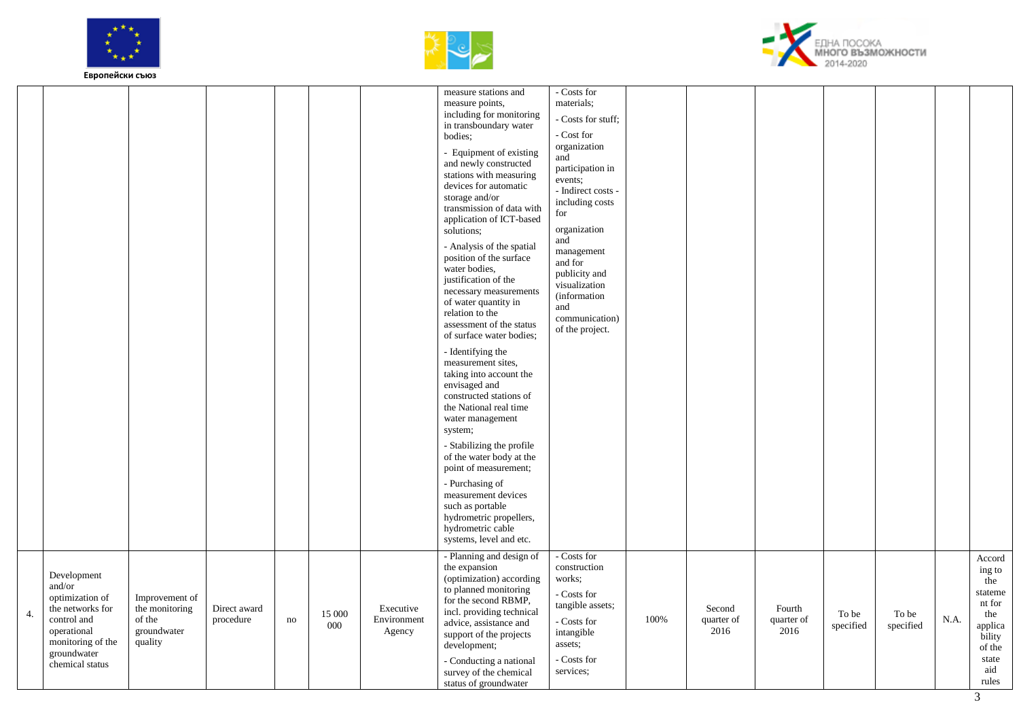





|    |                                                                                                                                                   |                                                                      |                           |    |               |                                    | measure stations and<br>measure points,<br>including for monitoring<br>in transboundary water<br>bodies;<br>- Equipment of existing<br>and newly constructed<br>stations with measuring<br>devices for automatic<br>storage and/or<br>transmission of data with<br>application of ICT-based<br>solutions;<br>- Analysis of the spatial<br>position of the surface<br>water bodies,<br>justification of the<br>necessary measurements<br>of water quantity in<br>relation to the<br>assessment of the status<br>of surface water bodies;<br>- Identifying the<br>measurement sites,<br>taking into account the<br>envisaged and<br>constructed stations of<br>the National real time<br>water management<br>system;<br>- Stabilizing the profile<br>of the water body at the<br>point of measurement;<br>- Purchasing of<br>measurement devices<br>such as portable<br>hydrometric propellers,<br>hydrometric cable<br>systems, level and etc. | - Costs for<br>materials;<br>- Costs for stuff;<br>- Cost for<br>organization<br>and<br>participation in<br>events;<br>- Indirect costs -<br>including costs<br>for<br>organization<br>and<br>management<br>and for<br>publicity and<br>visualization<br><i>(information)</i><br>and<br>communication)<br>of the project. |      |                              |                              |                    |                    |      |                                                                                                             |
|----|---------------------------------------------------------------------------------------------------------------------------------------------------|----------------------------------------------------------------------|---------------------------|----|---------------|------------------------------------|-----------------------------------------------------------------------------------------------------------------------------------------------------------------------------------------------------------------------------------------------------------------------------------------------------------------------------------------------------------------------------------------------------------------------------------------------------------------------------------------------------------------------------------------------------------------------------------------------------------------------------------------------------------------------------------------------------------------------------------------------------------------------------------------------------------------------------------------------------------------------------------------------------------------------------------------------|---------------------------------------------------------------------------------------------------------------------------------------------------------------------------------------------------------------------------------------------------------------------------------------------------------------------------|------|------------------------------|------------------------------|--------------------|--------------------|------|-------------------------------------------------------------------------------------------------------------|
| 4. | Development<br>and/or<br>optimization of<br>the networks for<br>control and<br>operational<br>monitoring of the<br>groundwater<br>chemical status | Improvement of<br>the monitoring<br>of the<br>groundwater<br>quality | Direct award<br>procedure | no | 15 000<br>000 | Executive<br>Environment<br>Agency | - Planning and design of<br>the expansion<br>(optimization) according<br>to planned monitoring<br>for the second RBMP,<br>incl. providing technical<br>advice, assistance and<br>support of the projects<br>development;<br>- Conducting a national<br>survey of the chemical<br>status of groundwater                                                                                                                                                                                                                                                                                                                                                                                                                                                                                                                                                                                                                                        | - Costs for<br>construction<br>works:<br>- Costs for<br>tangible assets;<br>- Costs for<br>intangible<br>assets;<br>- Costs for<br>services;                                                                                                                                                                              | 100% | Second<br>quarter of<br>2016 | Fourth<br>quarter of<br>2016 | To be<br>specified | To be<br>specified | N.A. | Accord<br>ing to<br>the<br>stateme<br>nt for<br>the<br>applica<br>bility<br>of the<br>state<br>aid<br>rules |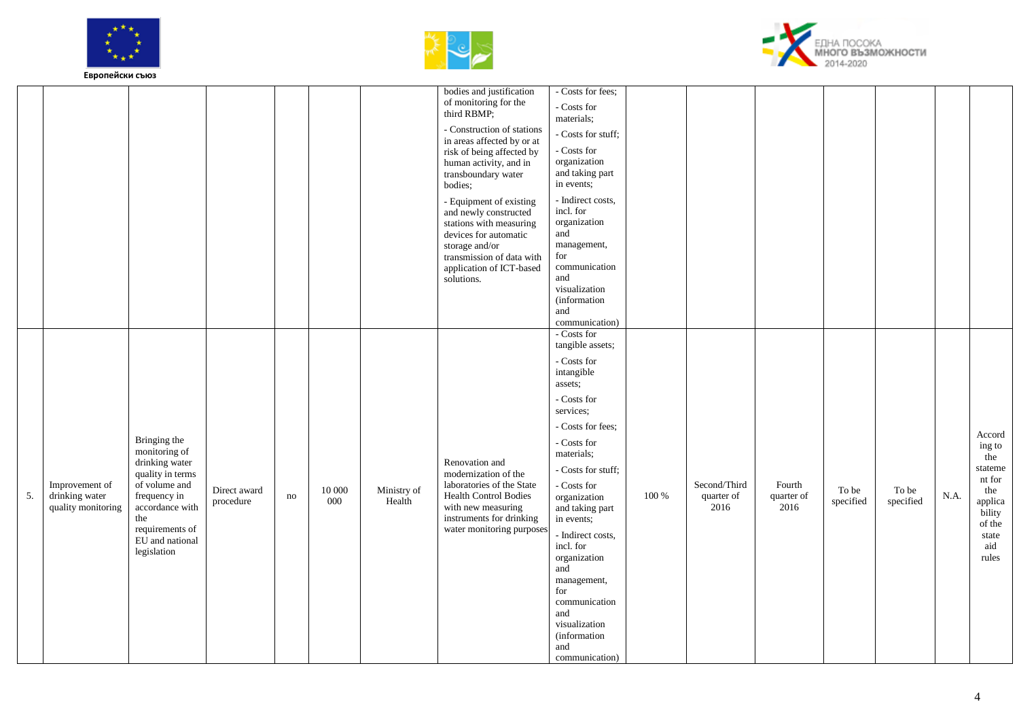





|    |                                                        |                                                                                                                                                                                     |                           |    |               |                       | bodies and justification<br>of monitoring for the<br>third RBMP;<br>- Construction of stations<br>in areas affected by or at<br>risk of being affected by<br>human activity, and in<br>transboundary water<br>bodies;<br>- Equipment of existing<br>and newly constructed<br>stations with measuring<br>devices for automatic<br>storage and/or<br>transmission of data with<br>application of ICT-based<br>solutions. | - Costs for fees;<br>- Costs for<br>materials;<br>- Costs for stuff;<br>- Costs for<br>organization<br>and taking part<br>in events;<br>- Indirect costs,<br>incl. for<br>organization<br>and<br>management,<br>for<br>communication<br>and<br>visualization<br>(information<br>and<br>communication)                                                                                                                |       |                                    |                              |                    |                    |      |                                                                                                             |
|----|--------------------------------------------------------|-------------------------------------------------------------------------------------------------------------------------------------------------------------------------------------|---------------------------|----|---------------|-----------------------|------------------------------------------------------------------------------------------------------------------------------------------------------------------------------------------------------------------------------------------------------------------------------------------------------------------------------------------------------------------------------------------------------------------------|----------------------------------------------------------------------------------------------------------------------------------------------------------------------------------------------------------------------------------------------------------------------------------------------------------------------------------------------------------------------------------------------------------------------|-------|------------------------------------|------------------------------|--------------------|--------------------|------|-------------------------------------------------------------------------------------------------------------|
| 5. | Improvement of<br>drinking water<br>quality monitoring | Bringing the<br>monitoring of<br>drinking water<br>quality in terms<br>of volume and<br>frequency in<br>accordance with<br>the<br>requirements of<br>EU and national<br>legislation | Direct award<br>procedure | no | 10 000<br>000 | Ministry of<br>Health | Renovation and<br>modernization of the<br>laboratories of the State<br>Health Control Bodies<br>with new measuring<br>instruments for drinking<br>water monitoring purposes                                                                                                                                                                                                                                            | - Costs for<br>tangible assets;<br>- Costs for<br>intangible<br>assets;<br>- Costs for<br>services;<br>- Costs for fees:<br>- Costs for<br>materials;<br>- Costs for stuff;<br>- Costs for<br>organization<br>and taking part<br>in events;<br>- Indirect costs,<br>incl. for<br>organization<br>and<br>management,<br>for<br>communication<br>and<br>visualization<br><i>(information)</i><br>and<br>communication) | 100 % | Second/Third<br>quarter of<br>2016 | Fourth<br>quarter of<br>2016 | To be<br>specified | To be<br>specified | N.A. | Accord<br>ing to<br>the<br>stateme<br>nt for<br>the<br>applica<br>bility<br>of the<br>state<br>aid<br>rules |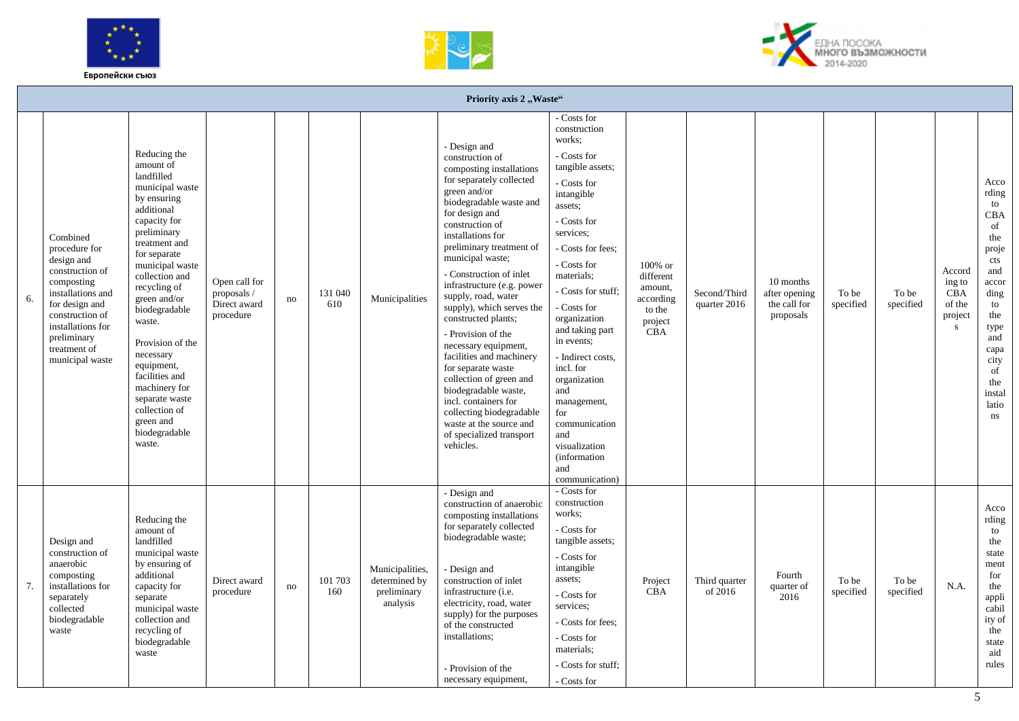





|    |                                                                                                                                                                                                           |                                                                                                                                                                                                                                                                                                                                                                                                                      |                                                           |    |                |                                                             | Priority axis 2, Waste"                                                                                                                                                                                                                                                                                                                                                                                                                                                                                                                                                                                                                                     |                                                                                                                                                                                                                                                                                                                                                                                                                                                       |                                                                                                   |                              |                                                         |                    |                    |                                                                  |                                                                                                                                                                   |
|----|-----------------------------------------------------------------------------------------------------------------------------------------------------------------------------------------------------------|----------------------------------------------------------------------------------------------------------------------------------------------------------------------------------------------------------------------------------------------------------------------------------------------------------------------------------------------------------------------------------------------------------------------|-----------------------------------------------------------|----|----------------|-------------------------------------------------------------|-------------------------------------------------------------------------------------------------------------------------------------------------------------------------------------------------------------------------------------------------------------------------------------------------------------------------------------------------------------------------------------------------------------------------------------------------------------------------------------------------------------------------------------------------------------------------------------------------------------------------------------------------------------|-------------------------------------------------------------------------------------------------------------------------------------------------------------------------------------------------------------------------------------------------------------------------------------------------------------------------------------------------------------------------------------------------------------------------------------------------------|---------------------------------------------------------------------------------------------------|------------------------------|---------------------------------------------------------|--------------------|--------------------|------------------------------------------------------------------|-------------------------------------------------------------------------------------------------------------------------------------------------------------------|
| 6. | Combined<br>procedure for<br>design and<br>construction of<br>composting<br>installations and<br>for design and<br>construction of<br>installations for<br>preliminary<br>treatment of<br>municipal waste | Reducing the<br>amount of<br>landfilled<br>municipal waste<br>by ensuring<br>additional<br>capacity for<br>preliminary<br>treatment and<br>for separate<br>municipal waste<br>collection and<br>recycling of<br>green and/or<br>biodegradable<br>waste.<br>Provision of the<br>necessary<br>equipment,<br>facilities and<br>machinery for<br>separate waste<br>collection of<br>green and<br>biodegradable<br>waste. | Open call for<br>proposals /<br>Direct award<br>procedure | no | 131 040<br>610 | Municipalities                                              | - Design and<br>construction of<br>composting installations<br>for separately collected<br>green and/or<br>biodegradable waste and<br>for design and<br>construction of<br>installations for<br>preliminary treatment of<br>municipal waste;<br>- Construction of inlet<br>infrastructure (e.g. power<br>supply, road, water<br>supply), which serves the<br>constructed plants;<br>- Provision of the<br>necessary equipment,<br>facilities and machinery<br>for separate waste<br>collection of green and<br>biodegradable waste,<br>incl. containers for<br>collecting biodegradable<br>waste at the source and<br>of specialized transport<br>vehicles. | - Costs for<br>construction<br>works:<br>- Costs for<br>tangible assets;<br>- Costs for<br>intangible<br>assets:<br>- Costs for<br>services:<br>- Costs for fees:<br>- Costs for<br>materials;<br>- Costs for stuff;<br>- Costs for<br>organization<br>and taking part<br>in events;<br>- Indirect costs,<br>incl. for<br>organization<br>and<br>management,<br>for<br>communication<br>and<br>visualization<br>(information<br>and<br>communication) | 100% or<br>$\operatorname*{different}$<br>amount,<br>according<br>to the<br>project<br><b>CBA</b> | Second/Third<br>quarter 2016 | 10 months<br>after opening<br>the call for<br>proposals | To be<br>specified | To be<br>specified | Accord<br>ing to<br><b>CBA</b><br>of the<br>project<br>${\bf S}$ | Acco<br>rding<br>to<br>CBA<br>of<br>the<br>proje<br>cts<br>and<br>accor<br>ding<br>to<br>the<br>type<br>and<br>capa<br>city<br>of<br>the<br>instal<br>latio<br>ns |
| 7. | Design and<br>construction of<br>anaerobic<br>composting<br>installations for<br>separately<br>collected<br>biodegradable<br>waste                                                                        | Reducing the<br>amount of<br>landfilled<br>municipal waste<br>by ensuring of<br>additional<br>capacity for<br>separate<br>municipal waste<br>collection and<br>recycling of<br>biodegradable<br>waste                                                                                                                                                                                                                | Direct award<br>procedure                                 | no | 101 703<br>160 | Municipalities,<br>determined by<br>preliminary<br>analysis | - Design and<br>construction of anaerobic<br>composting installations<br>for separately collected<br>biodegradable waste;<br>- Design and<br>construction of inlet<br>infrastructure (i.e.<br>electricity, road, water<br>supply) for the purposes<br>of the constructed<br>installations;<br>- Provision of the<br>necessary equipment,                                                                                                                                                                                                                                                                                                                    | - Costs for<br>construction<br>works:<br>- Costs for<br>tangible assets;<br>- Costs for<br>intangible<br>assets;<br>- Costs for<br>services:<br>- Costs for fees:<br>- Costs for<br>materials;<br>- Costs for stuff:<br>- Costs for                                                                                                                                                                                                                   | Project<br><b>CBA</b>                                                                             | Third quarter<br>of 2016     | Fourth<br>quarter of<br>2016                            | To be<br>specified | To be<br>specified | N.A.                                                             | Acco<br>rding<br>to<br>the<br>state<br>ment<br>for<br>the<br>appli<br>cabil<br>ity of<br>the<br>state<br>aid<br>rules                                             |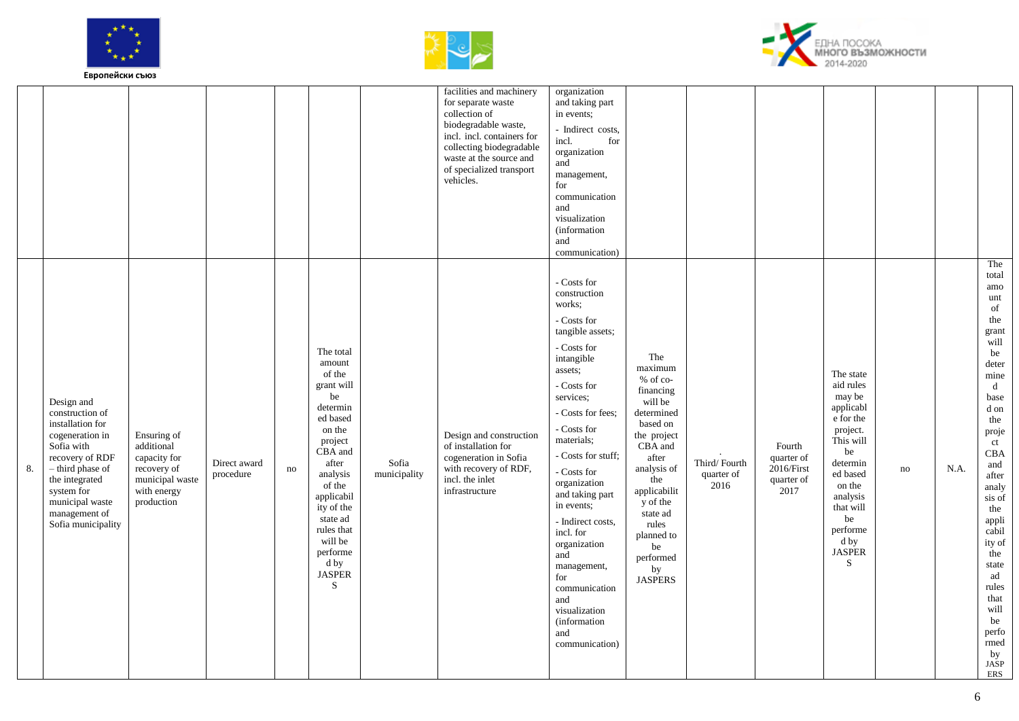





|    |                                                                                                                                                                                                                     |                                                                                                          |                           |    |                                                                                                                                                                                                                                                     |                       | facilities and machinery<br>for separate waste<br>collection of<br>biodegradable waste,<br>incl. incl. containers for<br>collecting biodegradable<br>waste at the source and<br>of specialized transport<br>vehicles. | organization<br>and taking part<br>in events;<br>- Indirect costs,<br>for<br>incl.<br>organization<br>and<br>management,<br>for<br>communication<br>and<br>visualization<br>(information<br>and<br>communication)                                                                                                                                                                                                                                             |                                                                                                                                                                                                                                                 |                                    |                                                          |                                                                                                                                                                                                      |    |      |                                                                                                                                                                                                                                                                                                                             |
|----|---------------------------------------------------------------------------------------------------------------------------------------------------------------------------------------------------------------------|----------------------------------------------------------------------------------------------------------|---------------------------|----|-----------------------------------------------------------------------------------------------------------------------------------------------------------------------------------------------------------------------------------------------------|-----------------------|-----------------------------------------------------------------------------------------------------------------------------------------------------------------------------------------------------------------------|---------------------------------------------------------------------------------------------------------------------------------------------------------------------------------------------------------------------------------------------------------------------------------------------------------------------------------------------------------------------------------------------------------------------------------------------------------------|-------------------------------------------------------------------------------------------------------------------------------------------------------------------------------------------------------------------------------------------------|------------------------------------|----------------------------------------------------------|------------------------------------------------------------------------------------------------------------------------------------------------------------------------------------------------------|----|------|-----------------------------------------------------------------------------------------------------------------------------------------------------------------------------------------------------------------------------------------------------------------------------------------------------------------------------|
| 8. | Design and<br>construction of<br>installation for<br>cogeneration in<br>Sofia with<br>recovery of RDF<br>- third phase of<br>the integrated<br>system for<br>municipal waste<br>management of<br>Sofia municipality | Ensuring of<br>additional<br>capacity for<br>recovery of<br>municipal waste<br>with energy<br>production | Direct award<br>procedure | no | The total<br>amount<br>of the<br>grant will<br>be<br>determin<br>ed based<br>on the<br>project<br>CBA and<br>after<br>analysis<br>of the<br>applicabil<br>ity of the<br>state ad<br>rules that<br>will be<br>performe<br>d by<br><b>JASPER</b><br>S | Sofia<br>municipality | Design and construction<br>of installation for<br>cogeneration in Sofia<br>with recovery of RDF,<br>incl. the inlet<br>infrastructure                                                                                 | - Costs for<br>construction<br>works;<br>- Costs for<br>tangible assets;<br>- Costs for<br>intangible<br>assets;<br>- Costs for<br>services:<br>- Costs for fees;<br>- Costs for<br>materials;<br>- Costs for stuff;<br>- Costs for<br>organization<br>and taking part<br>in events;<br>- Indirect costs,<br>incl. for<br>organization<br>and<br>management,<br>for<br>communication<br>and<br>visualization<br><i>(information)</i><br>and<br>communication) | The<br>maximum<br>% of co-<br>financing<br>will be<br>determined<br>based on<br>the project<br>CBA and<br>after<br>analysis of<br>the<br>applicabilit<br>y of the<br>state ad<br>rules<br>planned to<br>be<br>performed<br>by<br><b>JASPERS</b> | Third/Fourth<br>quarter of<br>2016 | Fourth<br>quarter of<br>2016/First<br>quarter of<br>2017 | The state<br>aid rules<br>may be<br>applicabl<br>e for the<br>project.<br>This will<br>be<br>determin<br>ed based<br>on the<br>analysis<br>that will<br>be<br>performe<br>d by<br><b>JASPER</b><br>S | no | N.A. | The<br>total<br>amo<br>unt<br>of<br>the<br>grant<br>will<br>be<br>deter<br>mine<br>$\mathbf d$<br>base<br>${\rm d}$ on<br>the<br>proje<br>ct<br><b>CBA</b><br>and<br>after<br>analy<br>sis of<br>the<br>appli<br>cabil<br>ity of<br>the<br>state<br>ad<br>rules<br>that<br>will<br>be<br>perfo<br>rmed<br>by<br>JASP<br>ERS |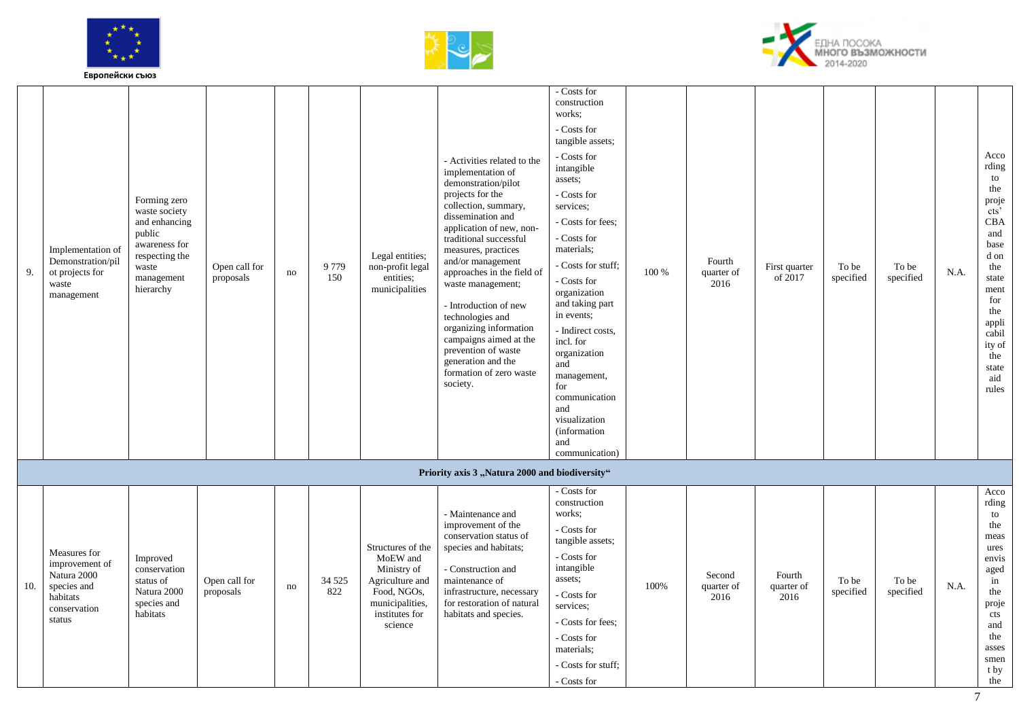





| 9.  | Implementation of<br>Demonstration/pil<br>ot projects for<br>waste<br>management                   | Forming zero<br>waste society<br>and enhancing<br>public<br>awareness for<br>respecting the<br>waste<br>management<br>hierarchy | Open call for<br>proposals | no | 9 7 7 9<br>150 | Legal entities;<br>non-profit legal<br>entities;<br>municipalities                                                             | - Activities related to the<br>implementation of<br>demonstration/pilot<br>projects for the<br>collection, summary,<br>dissemination and<br>application of new, non-<br>traditional successful<br>measures, practices<br>and/or management<br>approaches in the field of<br>waste management;<br>- Introduction of new<br>technologies and<br>organizing information<br>campaigns aimed at the<br>prevention of waste<br>generation and the<br>formation of zero waste<br>society. | - Costs for<br>construction<br>works:<br>- Costs for<br>tangible assets;<br>- Costs for<br>intangible<br>assets;<br>- Costs for<br>services:<br>- Costs for fees;<br>- Costs for<br>materials;<br>- Costs for stuff:<br>- Costs for<br>organization<br>and taking part<br>in events;<br>- Indirect costs,<br>incl. for<br>organization<br>and<br>management,<br>for<br>communication<br>and<br>visualization<br>(information<br>and<br>communication) | 100 % | Fourth<br>quarter of<br>2016 | First quarter<br>of 2017     | To be<br>specified | To be<br>specified | N.A. | Acco<br>rding<br>to<br>the<br>proje<br>cts'<br>CBA<br>and<br>base<br>d on<br>the<br>state<br>ment<br>for<br>the<br>appli<br>cabil<br>ity of<br>the<br>state<br>aid<br>rules |
|-----|----------------------------------------------------------------------------------------------------|---------------------------------------------------------------------------------------------------------------------------------|----------------------------|----|----------------|--------------------------------------------------------------------------------------------------------------------------------|------------------------------------------------------------------------------------------------------------------------------------------------------------------------------------------------------------------------------------------------------------------------------------------------------------------------------------------------------------------------------------------------------------------------------------------------------------------------------------|-------------------------------------------------------------------------------------------------------------------------------------------------------------------------------------------------------------------------------------------------------------------------------------------------------------------------------------------------------------------------------------------------------------------------------------------------------|-------|------------------------------|------------------------------|--------------------|--------------------|------|-----------------------------------------------------------------------------------------------------------------------------------------------------------------------------|
|     |                                                                                                    |                                                                                                                                 |                            |    |                |                                                                                                                                | Priority axis 3 "Natura 2000 and biodiversity"                                                                                                                                                                                                                                                                                                                                                                                                                                     |                                                                                                                                                                                                                                                                                                                                                                                                                                                       |       |                              |                              |                    |                    |      |                                                                                                                                                                             |
| 10. | Measures for<br>improvement of<br>Natura 2000<br>species and<br>habitats<br>conservation<br>status | Improved<br>conservation<br>status of<br>Natura 2000<br>species and<br>habitats                                                 | Open call for<br>proposals | no | 34 5 25<br>822 | Structures of the<br>MoEW and<br>Ministry of<br>Agriculture and<br>Food, NGOs,<br>municipalities,<br>institutes for<br>science | - Maintenance and<br>improvement of the<br>conservation status of<br>species and habitats;<br>- Construction and<br>maintenance of<br>infrastructure, necessary<br>for restoration of natural<br>habitats and species.                                                                                                                                                                                                                                                             | - Costs for<br>construction<br>works:<br>- Costs for<br>tangible assets;<br>- Costs for<br>intangible<br>assets;<br>- Costs for<br>services:<br>- Costs for fees;<br>- Costs for<br>materials;<br>- Costs for stuff:<br>- Costs for                                                                                                                                                                                                                   | 100%  | Second<br>quarter of<br>2016 | Fourth<br>quarter of<br>2016 | To be<br>specified | To be<br>specified | N.A. | Acco<br>rding<br>to<br>the<br>meas<br>ures<br>envis<br>aged<br>in<br>the<br>proje<br>cts<br>and<br>the<br>asses<br>smen<br>t by<br>the                                      |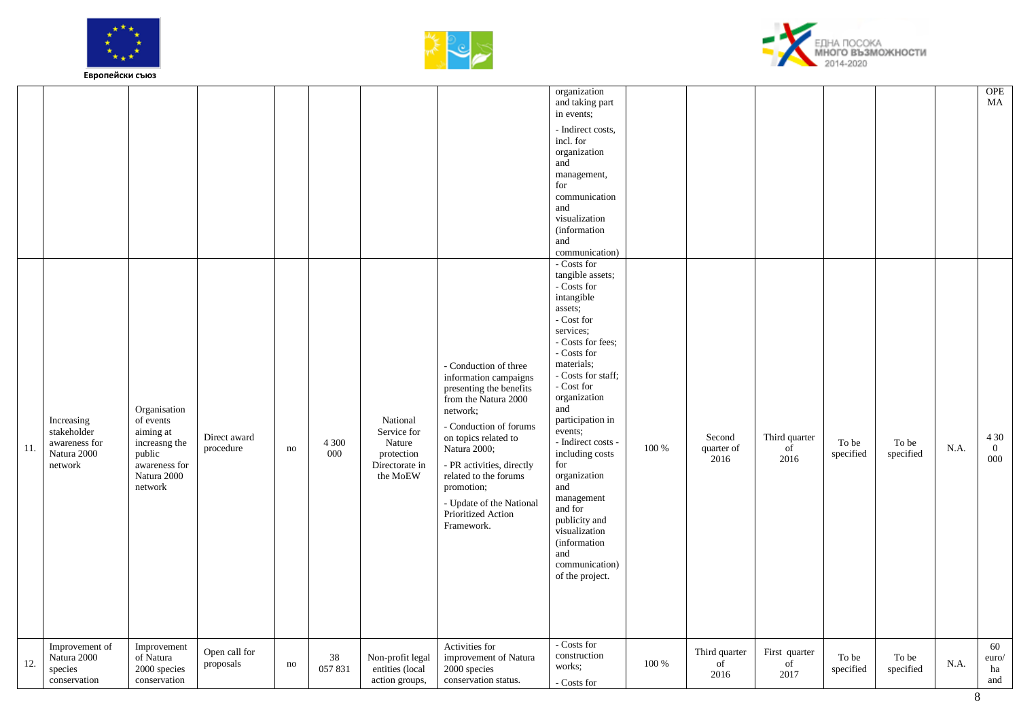





| <b>OPE</b><br>MA                                                                                                                                                                                               | 4 3 0<br>$\overline{0}$<br>$000\,$                                                                                                                                                                                                                                                                                                                                                                                                                                                 | 60<br>euro/<br>ha<br>and                                                        |
|----------------------------------------------------------------------------------------------------------------------------------------------------------------------------------------------------------------|------------------------------------------------------------------------------------------------------------------------------------------------------------------------------------------------------------------------------------------------------------------------------------------------------------------------------------------------------------------------------------------------------------------------------------------------------------------------------------|---------------------------------------------------------------------------------|
|                                                                                                                                                                                                                | N.A.                                                                                                                                                                                                                                                                                                                                                                                                                                                                               | N.A.                                                                            |
|                                                                                                                                                                                                                | To be<br>specified                                                                                                                                                                                                                                                                                                                                                                                                                                                                 | To be<br>specified                                                              |
|                                                                                                                                                                                                                | To be<br>specified                                                                                                                                                                                                                                                                                                                                                                                                                                                                 | To be<br>specified                                                              |
|                                                                                                                                                                                                                | Third quarter<br>of<br>2016                                                                                                                                                                                                                                                                                                                                                                                                                                                        | First quarter<br>of<br>2017                                                     |
|                                                                                                                                                                                                                | Second<br>quarter of<br>2016                                                                                                                                                                                                                                                                                                                                                                                                                                                       | Third quarter<br>of<br>2016                                                     |
|                                                                                                                                                                                                                | 100 %                                                                                                                                                                                                                                                                                                                                                                                                                                                                              | 100 %                                                                           |
| organization<br>and taking part<br>in events;<br>- Indirect costs,<br>incl. for<br>organization<br>and<br>management,<br>for<br>communication<br>and<br>visualization<br>(information<br>and<br>communication) | - Costs for<br>tangible assets;<br>- Costs for<br>intangible<br>assets;<br>$\hbox{-}\operatorname{Cost}$ for<br>services;<br>- Costs for fees:<br>- Costs for<br>materials;<br>- Costs for staff;<br>- Cost for<br>organization<br>and<br>participation in<br>events;<br>- Indirect costs -<br>including costs<br>for<br>organization<br>and<br>management<br>and for<br>publicity and<br>visualization<br>(information<br>and<br>communication)<br>of the project.<br>- Costs for | construction<br>works;<br>- Costs for                                           |
|                                                                                                                                                                                                                | - Conduction of three<br>information campaigns<br>presenting the benefits<br>from the Natura 2000<br>network;<br>- Conduction of forums<br>on topics related to<br>Natura 2000;<br>- PR activities, directly<br>related to the forums<br>promotion;<br>- Update of the National<br>Prioritized Action<br>Framework.                                                                                                                                                                | Activities for<br>improvement of Natura<br>2000 species<br>conservation status. |
|                                                                                                                                                                                                                | National<br>Service for<br>Nature<br>protection<br>Directorate in<br>the MoEW                                                                                                                                                                                                                                                                                                                                                                                                      | Non-profit legal<br>entities (local<br>action groups,                           |
|                                                                                                                                                                                                                | 4 3 0 0<br>000                                                                                                                                                                                                                                                                                                                                                                                                                                                                     | 38<br>057831                                                                    |
|                                                                                                                                                                                                                | no                                                                                                                                                                                                                                                                                                                                                                                                                                                                                 | no                                                                              |
|                                                                                                                                                                                                                | Direct award<br>procedure                                                                                                                                                                                                                                                                                                                                                                                                                                                          | Open call for<br>proposals                                                      |
|                                                                                                                                                                                                                | Organisation<br>of events<br>aiming at<br>increasng the<br>public<br>awareness for<br>Natura 2000<br>${\rm network}$                                                                                                                                                                                                                                                                                                                                                               | Improvement<br>of Natura<br>$2000$ species<br>conservation                      |
|                                                                                                                                                                                                                | Increasing<br>stakeholder<br>awareness for<br>Natura 2000<br>network                                                                                                                                                                                                                                                                                                                                                                                                               | Improvement of<br>Natura 2000<br>species<br>conservation                        |
|                                                                                                                                                                                                                | 11.                                                                                                                                                                                                                                                                                                                                                                                                                                                                                | 12.                                                                             |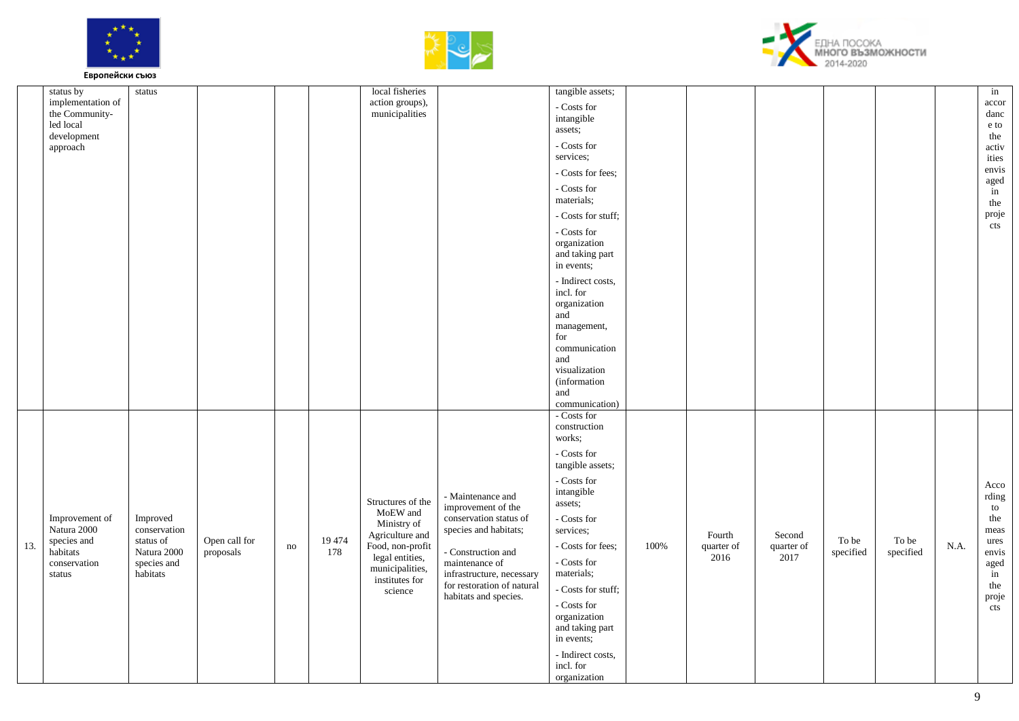





|     | status by<br>implementation of<br>the Community-<br>led local<br>development<br>approach | status                                                                          |                            |    |               | local fisheries<br>action groups),<br>municipalities                                                                                                   |                                                                                                                                                                                                                        | tangible assets;<br>- Costs for<br>intangible<br>assets;<br>- Costs for<br>services:<br>- Costs for fees;<br>- Costs for<br>materials;<br>- Costs for stuff;<br>- Costs for<br>organization<br>and taking part<br>in events;<br>- Indirect costs,<br>incl. for<br>organization<br>and<br>management,<br>for<br>communication<br>and<br>visualization<br>(information<br>and                                      |      |                              |                              |                    |                            |      | in<br>accor<br>danc<br>e to<br>the<br>activ<br>ities<br>envis<br>aged<br>in<br>the<br>proje<br>cts |
|-----|------------------------------------------------------------------------------------------|---------------------------------------------------------------------------------|----------------------------|----|---------------|--------------------------------------------------------------------------------------------------------------------------------------------------------|------------------------------------------------------------------------------------------------------------------------------------------------------------------------------------------------------------------------|------------------------------------------------------------------------------------------------------------------------------------------------------------------------------------------------------------------------------------------------------------------------------------------------------------------------------------------------------------------------------------------------------------------|------|------------------------------|------------------------------|--------------------|----------------------------|------|----------------------------------------------------------------------------------------------------|
| 13. | Improvement of<br>Natura 2000<br>species and<br>habitats<br>conservation<br>status       | Improved<br>conservation<br>status of<br>Natura 2000<br>species and<br>habitats | Open call for<br>proposals | no | 19 474<br>178 | Structures of the<br>MoEW and<br>Ministry of<br>Agriculture and<br>Food, non-profit<br>legal entities,<br>municipalities,<br>institutes for<br>science | - Maintenance and<br>improvement of the<br>conservation status of<br>species and habitats;<br>- Construction and<br>maintenance of<br>infrastructure, necessary<br>for restoration of natural<br>habitats and species. | communication)<br>- Costs for<br>construction<br>works;<br>- Costs for<br>tangible assets;<br>- Costs for<br>intangible<br>assets;<br>- Costs for<br>services;<br>- Costs for fees;<br>$\hbox{-}\, \operatorname{Costs}$ for<br>materials;<br>- Costs for stuff;<br>$\hbox{-}\mathop{\rm Costs}\nolimits$ for<br>organization<br>and taking part<br>in events;<br>- Indirect costs,<br>incl. for<br>organization | 100% | Fourth<br>quarter of<br>2016 | Second<br>quarter of<br>2017 | To be<br>specified | ${\rm To}$ be<br>specified | N.A. | Acco<br>rding<br>to<br>the<br>meas<br>ures<br>envis<br>aged<br>in<br>the<br>proje<br>cts           |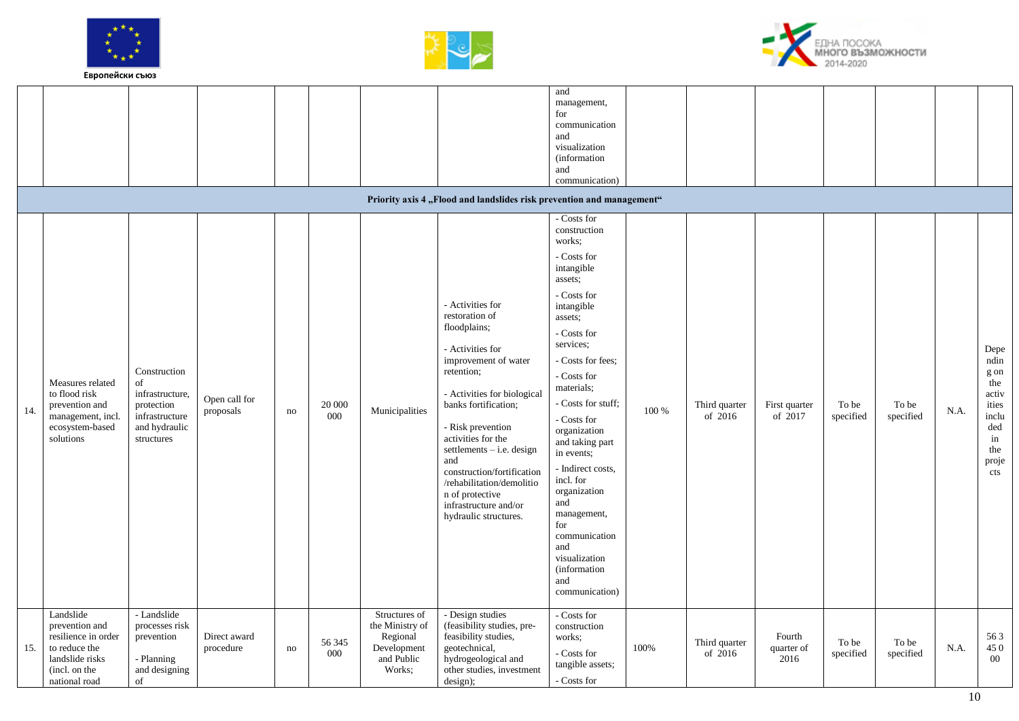





|     |                                                                                                                          |                                                                                                      |                            |    |               |                                                                                     | Priority axis 4 "Flood and landslides risk prevention and management"                                                                                                                                                                                                                                                                                                                | management,<br>for<br>communication<br>and<br>visualization<br><i>(information)</i><br>and<br>communication)                                                                                                                                                                                                                                                                                                                                                       |           |                            |                              |                    |                    |      |                                                                                            |
|-----|--------------------------------------------------------------------------------------------------------------------------|------------------------------------------------------------------------------------------------------|----------------------------|----|---------------|-------------------------------------------------------------------------------------|--------------------------------------------------------------------------------------------------------------------------------------------------------------------------------------------------------------------------------------------------------------------------------------------------------------------------------------------------------------------------------------|--------------------------------------------------------------------------------------------------------------------------------------------------------------------------------------------------------------------------------------------------------------------------------------------------------------------------------------------------------------------------------------------------------------------------------------------------------------------|-----------|----------------------------|------------------------------|--------------------|--------------------|------|--------------------------------------------------------------------------------------------|
| 14. | Measures related<br>to flood risk<br>prevention and<br>management, incl.<br>ecosystem-based<br>solutions                 | Construction<br>of<br>infrastructure,<br>protection<br>infrastructure<br>and hydraulic<br>structures | Open call for<br>proposals | no | 20 000<br>000 | Municipalities                                                                      | - Activities for<br>restoration of<br>floodplains;<br>- Activities for<br>improvement of water<br>retention;<br>- Activities for biological<br>banks fortification;<br>- Risk prevention<br>activities for the<br>settlements $-$ i.e. design<br>and<br>construction/fortification<br>/rehabilitation/demolitio<br>n of protective<br>infrastructure and/or<br>hydraulic structures. | - Costs for<br>construction<br>works:<br>- Costs for<br>intangible<br>assets;<br>- Costs for<br>intangible<br>assets;<br>- Costs for<br>services;<br>- Costs for fees;<br>- Costs for<br>materials:<br>- Costs for stuff;<br>- Costs for<br>organization<br>and taking part<br>in events;<br>- Indirect costs,<br>incl. for<br>organization<br>and<br>management,<br>for<br>communication<br>and<br>visualization<br><i>(information)</i><br>and<br>communication) | $100\,\%$ | Third quarter<br>of $2016$ | First quarter<br>of 2017     | To be<br>specified | To be<br>specified | N.A. | Depe<br>ndin<br>g on<br>the<br>activ<br>ities<br>inclu<br>ded<br>in<br>the<br>proje<br>cts |
| 15. | Landslide<br>prevention and<br>resilience in order<br>to reduce the<br>landslide risks<br>(incl. on the<br>national road | - Landslide<br>processes risk<br>prevention<br>- Planning<br>and designing<br>of                     | Direct award<br>procedure  | no | 56 345<br>000 | Structures of<br>the Ministry of<br>Regional<br>Development<br>and Public<br>Works; | - Design studies<br>(feasibility studies, pre-<br>feasibility studies,<br>geotechnical,<br>hydrogeological and<br>other studies, investment<br>design);                                                                                                                                                                                                                              | - Costs for<br>construction<br>works;<br>- Costs for<br>tangible assets;<br>- Costs for                                                                                                                                                                                                                                                                                                                                                                            | 100%      | Third quarter<br>of 2016   | Fourth<br>quarter of<br>2016 | To be<br>specified | To be<br>specified | N.A. | 563<br>450<br>$00\,$                                                                       |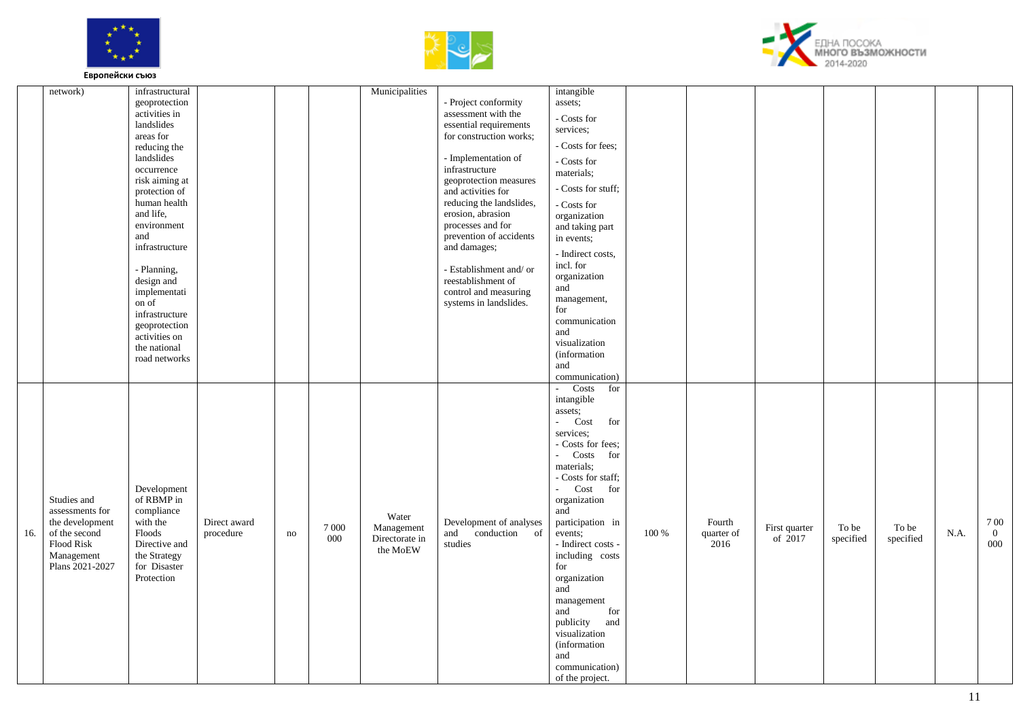





|     | network)                                                                                                          | infrastructural<br>geoprotection<br>activities in<br>landslides<br>areas for<br>reducing the<br>landslides<br>occurrence<br>risk aiming at<br>protection of<br>human health<br>and life,<br>environment<br>and<br>infrastructure<br>- Planning,<br>design and<br>implementati<br>on of<br>infrastructure<br>geoprotection<br>activities on<br>the national<br>road networks |                           |    |                | Municipalities                                    | - Project conformity<br>assessment with the<br>essential requirements<br>for construction works;<br>- Implementation of<br>infrastructure<br>geoprotection measures<br>and activities for<br>reducing the landslides,<br>erosion, abrasion<br>processes and for<br>prevention of accidents<br>and damages;<br>- Establishment and/or<br>reestablishment of<br>control and measuring<br>systems in landslides. | intangible<br>assets;<br>- Costs for<br>services;<br>- Costs for fees;<br>- Costs for<br>materials;<br>- Costs for stuff;<br>- Costs for<br>organization<br>and taking part<br>in events;<br>- Indirect costs,<br>incl. for<br>organization<br>and<br>management,<br>for<br>communication<br>and<br>visualization<br><i>(information)</i><br>and<br>communication)                                                                                  |       |                              |                            |                    |                    |      |                            |
|-----|-------------------------------------------------------------------------------------------------------------------|-----------------------------------------------------------------------------------------------------------------------------------------------------------------------------------------------------------------------------------------------------------------------------------------------------------------------------------------------------------------------------|---------------------------|----|----------------|---------------------------------------------------|---------------------------------------------------------------------------------------------------------------------------------------------------------------------------------------------------------------------------------------------------------------------------------------------------------------------------------------------------------------------------------------------------------------|-----------------------------------------------------------------------------------------------------------------------------------------------------------------------------------------------------------------------------------------------------------------------------------------------------------------------------------------------------------------------------------------------------------------------------------------------------|-------|------------------------------|----------------------------|--------------------|--------------------|------|----------------------------|
| 16. | Studies and<br>assessments for<br>the development<br>of the second<br>Flood Risk<br>Management<br>Plans 2021-2027 | Development<br>of RBMP in<br>compliance<br>with the<br>Floods<br>Directive and<br>the Strategy<br>for Disaster<br>Protection                                                                                                                                                                                                                                                | Direct award<br>procedure | no | 7 0 0 0<br>000 | Water<br>Management<br>Directorate in<br>the MoEW | Development of analyses<br>conduction of<br>and<br>studies                                                                                                                                                                                                                                                                                                                                                    | Costs<br>for<br>intangible<br>assets;<br>Cost<br>for<br>J.<br>services;<br>- Costs for fees;<br>- Costs<br>for<br>materials;<br>- Costs for staff;<br>Cost<br>$\mathbf{r}$<br>for<br>organization<br>and<br>participation in<br>events;<br>- Indirect costs -<br>including costs<br>for<br>organization<br>and<br>management<br>and<br>for<br>publicity<br>and<br>visualization<br><i>(information)</i><br>and<br>communication)<br>of the project. | 100 % | Fourth<br>quarter of<br>2016 | First quarter<br>of $2017$ | To be<br>specified | To be<br>specified | N.A. | 700<br>$\mathbf{0}$<br>000 |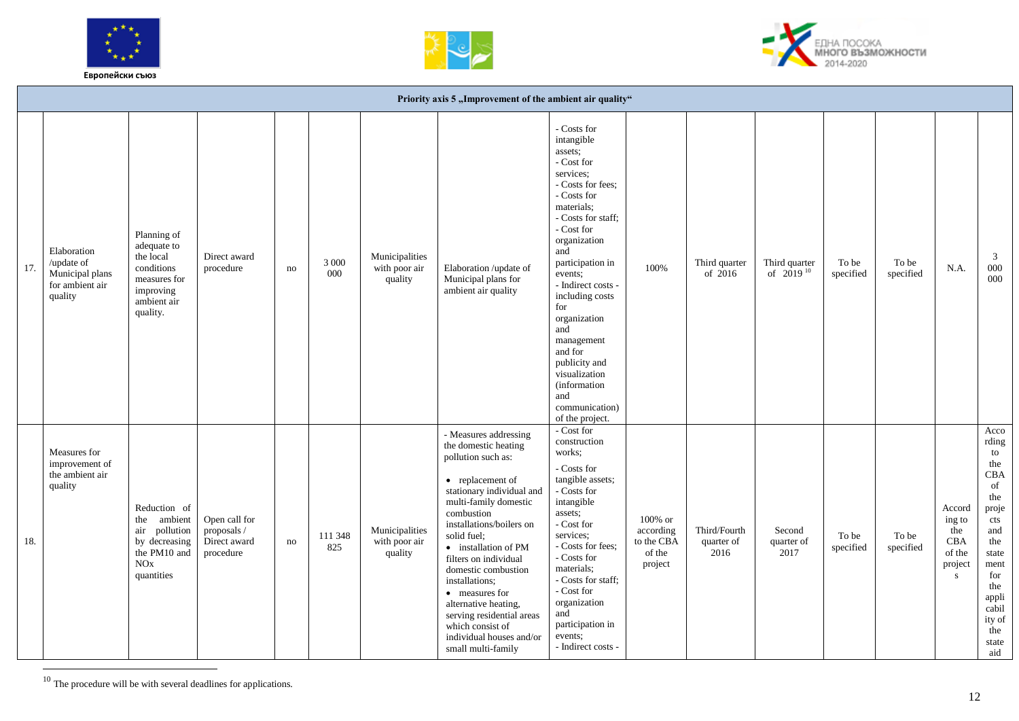





|     |                                                                            |                                                                                                                |                                                           |    |                |                                            | Priority axis 5 "Improvement of the ambient air quality"                                                                                                                                                                                                                                                                                                                                                                                      |                                                                                                                                                                                                                                                                                                                                                                                                                                                                   |                                                            |                                    |                                 |                    |                    |                                                           |                                                                                                                                                                                      |
|-----|----------------------------------------------------------------------------|----------------------------------------------------------------------------------------------------------------|-----------------------------------------------------------|----|----------------|--------------------------------------------|-----------------------------------------------------------------------------------------------------------------------------------------------------------------------------------------------------------------------------------------------------------------------------------------------------------------------------------------------------------------------------------------------------------------------------------------------|-------------------------------------------------------------------------------------------------------------------------------------------------------------------------------------------------------------------------------------------------------------------------------------------------------------------------------------------------------------------------------------------------------------------------------------------------------------------|------------------------------------------------------------|------------------------------------|---------------------------------|--------------------|--------------------|-----------------------------------------------------------|--------------------------------------------------------------------------------------------------------------------------------------------------------------------------------------|
| 17. | Elaboration<br>/update of<br>Municipal plans<br>for ambient air<br>quality | Planning of<br>adequate to<br>the local<br>conditions<br>measures for<br>improving<br>ambient air<br>quality.  | Direct award<br>procedure                                 | no | 3 0 0 0<br>000 | Municipalities<br>with poor air<br>quality | Elaboration /update of<br>Municipal plans for<br>ambient air quality                                                                                                                                                                                                                                                                                                                                                                          | - Costs for<br>intangible<br>assets;<br>- Cost ${\mathop{\rm for}\nolimits}$<br>services;<br>- Costs for fees;<br>$\hbox{-}\mathop{\rm Costs}\nolimits$ for<br>materials:<br>- Costs for staff;<br>- Cost for<br>organization<br>and<br>participation in<br>events;<br>- Indirect costs -<br>including costs<br>for<br>organization<br>and<br>management<br>and for<br>publicity and<br>visualization<br>(information<br>and<br>communication)<br>of the project. | 100%                                                       | Third quarter<br>of 2016           | Third quarter<br>of $2019^{10}$ | To be<br>specified | To be<br>specified | N.A.                                                      | $\overline{3}$<br>000<br>000                                                                                                                                                         |
| 18. | Measures for<br>improvement of<br>the ambient air<br>quality               | Reduction of<br>ambient<br>the<br>pollution<br>air<br>by decreasing<br>the PM10 and<br>$\rm NOx$<br>quantities | Open call for<br>proposals /<br>Direct award<br>procedure | no | 111 348<br>825 | Municipalities<br>with poor air<br>quality | - Measures addressing<br>the domestic heating<br>pollution such as:<br>• replacement of<br>stationary individual and<br>multi-family domestic<br>combustion<br>installations/boilers on<br>solid fuel:<br>• installation of PM<br>filters on individual<br>domestic combustion<br>installations;<br>• measures for<br>alternative heating,<br>serving residential areas<br>which consist of<br>individual houses and/or<br>small multi-family | - Cost for<br>construction<br>works;<br>- Costs for<br>tangible assets;<br>- Costs for<br>intangible<br>assets;<br>- Cost ${\mathop{\rm for}\nolimits}$<br>services:<br>- Costs for fees;<br>- Costs for<br>materials;<br>- Costs for staff;<br>- Cost ${\mathop{\rm for}\nolimits}$<br>organization<br>and<br>participation in<br>events;<br>- Indirect costs -                                                                                                  | $100\%$ or<br>according<br>to the CBA<br>of the<br>project | Third/Fourth<br>quarter of<br>2016 | Second<br>quarter of<br>2017    | To be<br>specified | To be<br>specified | Accord<br>ing to<br>the<br>CBA<br>of the<br>project<br>S. | Acco<br>rding<br>to<br>the<br>CBA<br>of<br>the<br>proje<br>$\ensuremath{\text{cts}}$<br>and<br>the<br>state<br>ment<br>for<br>the<br>appli<br>cabil<br>ity of<br>the<br>state<br>aid |

 $10$  The procedure will be with several deadlines for applications.

 $\overline{a}$